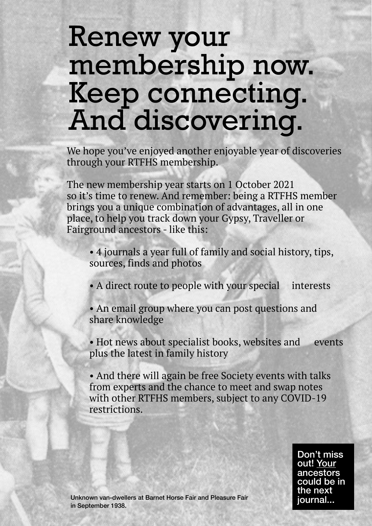# Renew your membership now. Keep connecting. And discovering.

We hope you've enjoyed another enjoyable year of discoveries through your RTFHS membership.

The new membership year starts on 1 October 2021 so it's time to renew. And remember: being a RTFHS member brings you a unique combination of advantages, all in one place, to help you track down your Gypsy, Traveller or Fairground ancestors - like this:

- 4 journals a year full of family and social history, tips, sources, finds and photos
- A direct route to people with your special interests
- An email group where you can post questions and share knowledge
- Hot news about specialist books, websites and events plus the latest in family history

 • And there will again be free Society events with talks from experts and the chance to meet and swap notes with other RTFHS members, subject to any COVID-19 restrictions.

> Don't miss out! Your ancestors could be in the next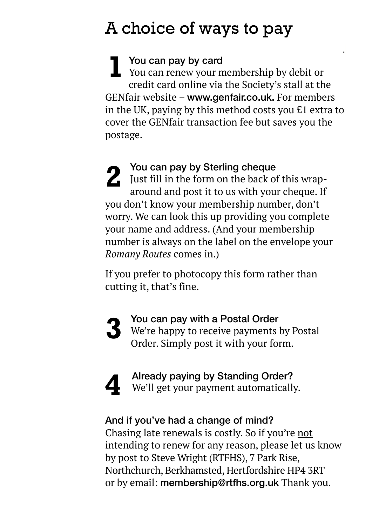## A choice of ways to pay

#### You can pay by card

You can pay by card<br>
You can renew your membership by debit or credit card online via the Society's stall at the GENfair website – [www.genfair.co.uk.](http://www.genfair.co.uk) For members in the UK, paying by this method costs you £1 extra to cover the GENfair transaction fee but saves you the postage.

.

You can pay by Sterling cheque Just fill in the form on the back of this wraparound and post it to us with your cheque. If you don't know your membership number, don't worry. We can look this up providing you complete your name and address. (And your membership number is always on the label on the envelope your *Romany Routes* comes in.) **2**

If you prefer to photocopy this form rather than cutting it, that's fine.



You can pay with a Postal Order We're happy to receive payments by Postal Order. Simply post it with your form.



Already paying by Standing Order? We'll get your payment automatically.

#### And if you've had a change of mind?

Chasing late renewals is costly. So if you're not intending to renew for any reason, please let us know by post to Steve Wright (RTFHS), 7 Park Rise, Northchurch, Berkhamsted, Hertfordshire HP4 3RT or by email: [membership@rtfhs.org.uk](mailto:membership@rtfhs.org.uk) Thank you.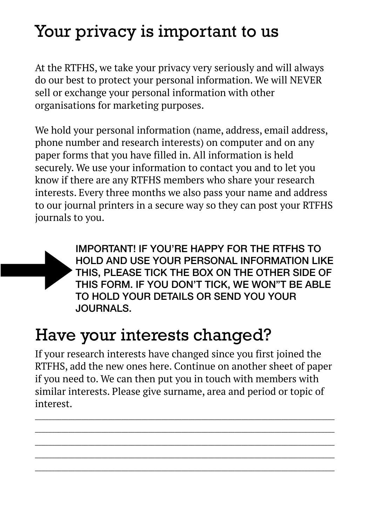# Your privacy is important to us

At the RTFHS, we take your privacy very seriously and will always do our best to protect your personal information. We will NEVER sell or exchange your personal information with other organisations for marketing purposes.

We hold your personal information (name, address, email address, phone number and research interests) on computer and on any paper forms that you have filled in. All information is held securely. We use your information to contact you and to let you know if there are any RTFHS members who share your research interests. Every three months we also pass your name and address to our journal printers in a secure way so they can post your RTFHS journals to you.



IMPORTANT! IF YOU'RE HAPPY FOR THE RTFHS TO HOLD AND USE YOUR PERSONAL INFORMATION LIKE THIS, PLEASE TICK THE BOX ON THE OTHER SIDE OF THIS FORM. IF YOU DON'T TICK, WE WON"T BE ABLE TO HOLD YOUR DETAILS OR SEND YOU YOUR JOURNALS.

### Have your interests changed?

If your research interests have changed since you first joined the RTFHS, add the new ones here. Continue on another sheet of paper if you need to. We can then put you in touch with members with similar interests. Please give surname, area and period or topic of interest.

 $\_$  ,  $\_$  ,  $\_$  ,  $\_$  ,  $\_$  ,  $\_$  ,  $\_$  ,  $\_$  ,  $\_$  ,  $\_$  ,  $\_$  ,  $\_$  ,  $\_$  ,  $\_$  ,  $\_$  ,  $\_$  ,  $\_$  ,  $\_$  ,  $\_$  ,  $\_$  ,  $\_$  ,  $\_$  ,  $\_$  ,  $\_$  ,  $\_$  ,  $\_$  ,  $\_$  ,  $\_$  ,  $\_$  ,  $\_$  ,  $\_$  ,  $\_$  ,  $\_$  ,  $\_$  ,  $\_$  ,  $\_$  ,  $\_$  ,

 $\_$  ,  $\_$  ,  $\_$  ,  $\_$  ,  $\_$  ,  $\_$  ,  $\_$  ,  $\_$  ,  $\_$  ,  $\_$  ,  $\_$  ,  $\_$  ,  $\_$  ,  $\_$  ,  $\_$  ,  $\_$  ,  $\_$  ,  $\_$  ,  $\_$  ,  $\_$  ,  $\_$  ,  $\_$  ,  $\_$  ,  $\_$  ,  $\_$  ,  $\_$  ,  $\_$  ,  $\_$  ,  $\_$  ,  $\_$  ,  $\_$  ,  $\_$  ,  $\_$  ,  $\_$  ,  $\_$  ,  $\_$  ,  $\_$  ,

 $\_$  ,  $\_$  ,  $\_$  ,  $\_$  ,  $\_$  ,  $\_$  ,  $\_$  ,  $\_$  ,  $\_$  ,  $\_$  ,  $\_$  ,  $\_$  ,  $\_$  ,  $\_$  ,  $\_$  ,  $\_$  ,  $\_$  ,  $\_$  ,  $\_$  ,  $\_$  ,  $\_$  ,  $\_$  ,  $\_$  ,  $\_$  ,  $\_$  ,  $\_$  ,  $\_$  ,  $\_$  ,  $\_$  ,  $\_$  ,  $\_$  ,  $\_$  ,  $\_$  ,  $\_$  ,  $\_$  ,  $\_$  ,  $\_$  ,

 $\_$  ,  $\_$  ,  $\_$  ,  $\_$  ,  $\_$  ,  $\_$  ,  $\_$  ,  $\_$  ,  $\_$  ,  $\_$  ,  $\_$  ,  $\_$  ,  $\_$  ,  $\_$  ,  $\_$  ,  $\_$  ,  $\_$  ,  $\_$  ,  $\_$  ,  $\_$  ,  $\_$  ,  $\_$  ,  $\_$  ,  $\_$  ,  $\_$  ,  $\_$  ,  $\_$  ,  $\_$  ,  $\_$  ,  $\_$  ,  $\_$  ,  $\_$  ,  $\_$  ,  $\_$  ,  $\_$  ,  $\_$  ,  $\_$  ,

 $\_$  ,  $\_$  ,  $\_$  ,  $\_$  ,  $\_$  ,  $\_$  ,  $\_$  ,  $\_$  ,  $\_$  ,  $\_$  ,  $\_$  ,  $\_$  ,  $\_$  ,  $\_$  ,  $\_$  ,  $\_$  ,  $\_$  ,  $\_$  ,  $\_$  ,  $\_$  ,  $\_$  ,  $\_$  ,  $\_$  ,  $\_$  ,  $\_$  ,  $\_$  ,  $\_$  ,  $\_$  ,  $\_$  ,  $\_$  ,  $\_$  ,  $\_$  ,  $\_$  ,  $\_$  ,  $\_$  ,  $\_$  ,  $\_$  ,